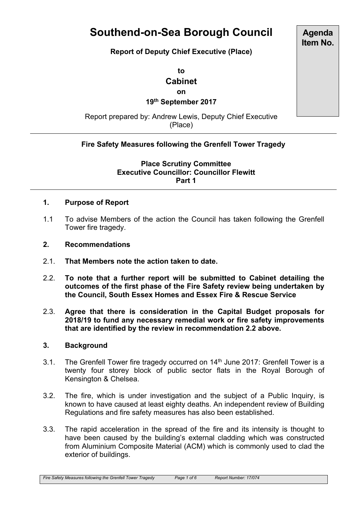# **Southend-on-Sea Borough Council**

**Report of Deputy Chief Executive (Place)**

**to Cabinet on**

**19th September 2017**

Report prepared by: Andrew Lewis, Deputy Chief Executive (Place)

# **Fire Safety Measures following the Grenfell Tower Tragedy**

**Place Scrutiny Committee Executive Councillor: Councillor Flewitt Part 1**

#### **1. Purpose of Report**

- 1.1 To advise Members of the action the Council has taken following the Grenfell Tower fire tragedy.
- **2. Recommendations**
- 2.1. **That Members note the action taken to date.**
- 2.2. **To note that a further report will be submitted to Cabinet detailing the outcomes of the first phase of the Fire Safety review being undertaken by the Council, South Essex Homes and Essex Fire & Rescue Service**
- 2.3. **Agree that there is consideration in the Capital Budget proposals for 2018/19 to fund any necessary remedial work or fire safety improvements that are identified by the review in recommendation 2.2 above.**

#### **3. Background**

- 3.1. The Grenfell Tower fire tragedy occurred on 14<sup>th</sup> June 2017: Grenfell Tower is a twenty four storey block of public sector flats in the Royal Borough of Kensington & Chelsea.
- 3.2. The fire, which is under investigation and the subject of a Public Inquiry, is known to have caused at least eighty deaths. An independent review of Building Regulations and fire safety measures has also been established.
- 3.3. The rapid acceleration in the spread of the fire and its intensity is thought to have been caused by the building's external cladding which was constructed from Aluminium Composite Material (ACM) which is commonly used to clad the exterior of buildings.

*Fire Safety Measures following the Grenfell Tower Tragedy Page 1 of 6 Report Number: 17/074*

**Agenda Item No.**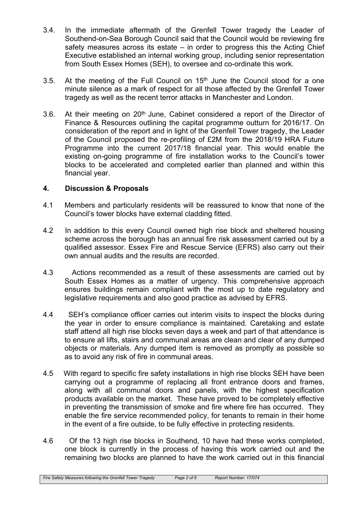- 3.4. In the immediate aftermath of the Grenfell Tower tragedy the Leader of Southend-on-Sea Borough Council said that the Council would be reviewing fire safety measures across its estate – in order to progress this the Acting Chief Executive established an internal working group, including senior representation from South Essex Homes (SEH), to oversee and co-ordinate this work.
- 3.5. At the meeting of the Full Council on  $15<sup>th</sup>$  June the Council stood for a one minute silence as a mark of respect for all those affected by the Grenfell Tower tragedy as well as the recent terror attacks in Manchester and London.
- 3.6. At their meeting on  $20<sup>th</sup>$  June, Cabinet considered a report of the Director of Finance & Resources outlining the capital programme outturn for 2016/17. On consideration of the report and in light of the Grenfell Tower tragedy, the Leader of the Council proposed the re-profiling of £2M from the 2018/19 HRA Future Programme into the current 2017/18 financial year. This would enable the existing on-going programme of fire installation works to the Council's tower blocks to be accelerated and completed earlier than planned and within this financial year.

# **4. Discussion & Proposals**

- 4.1 Members and particularly residents will be reassured to know that none of the Council's tower blocks have external cladding fitted.
- 4.2 In addition to this every Council owned high rise block and sheltered housing scheme across the borough has an annual fire risk assessment carried out by a qualified assessor. Essex Fire and Rescue Service (EFRS) also carry out their own annual audits and the results are recorded.
- 4.3 Actions recommended as a result of these assessments are carried out by South Essex Homes as a matter of urgency. This comprehensive approach ensures buildings remain compliant with the most up to date regulatory and legislative requirements and also good practice as advised by EFRS.
- 4.4 SEH's compliance officer carries out interim visits to inspect the blocks during the year in order to ensure compliance is maintained. Caretaking and estate staff attend all high rise blocks seven days a week and part of that attendance is to ensure all lifts, stairs and communal areas are clean and clear of any dumped objects or materials. Any dumped item is removed as promptly as possible so as to avoid any risk of fire in communal areas.
- 4.5 With regard to specific fire safety installations in high rise blocks SEH have been carrying out a programme of replacing all front entrance doors and frames, along with all communal doors and panels, with the highest specification products available on the market. These have proved to be completely effective in preventing the transmission of smoke and fire where fire has occurred. They enable the fire service recommended policy, for tenants to remain in their home in the event of a fire outside, to be fully effective in protecting residents.
- 4.6 Of the 13 high rise blocks in Southend, 10 have had these works completed, one block is currently in the process of having this work carried out and the remaining two blocks are planned to have the work carried out in this financial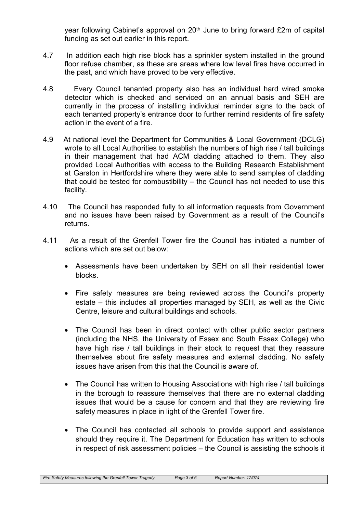year following Cabinet's approval on 20<sup>th</sup> June to bring forward £2m of capital funding as set out earlier in this report.

- 4.7 In addition each high rise block has a sprinkler system installed in the ground floor refuse chamber, as these are areas where low level fires have occurred in the past, and which have proved to be very effective.
- 4.8 Every Council tenanted property also has an individual hard wired smoke detector which is checked and serviced on an annual basis and SEH are currently in the process of installing individual reminder signs to the back of each tenanted property's entrance door to further remind residents of fire safety action in the event of a fire.
- 4.9 At national level the Department for Communities & Local Government (DCLG) wrote to all Local Authorities to establish the numbers of high rise / tall buildings in their management that had ACM cladding attached to them. They also provided Local Authorities with access to the Building Research Establishment at Garston in Hertfordshire where they were able to send samples of cladding that could be tested for combustibility – the Council has not needed to use this facility.
- 4.10 The Council has responded fully to all information requests from Government and no issues have been raised by Government as a result of the Council's returns.
- 4.11 As a result of the Grenfell Tower fire the Council has initiated a number of actions which are set out below:
	- Assessments have been undertaken by SEH on all their residential tower blocks.
	- Fire safety measures are being reviewed across the Council's property estate – this includes all properties managed by SEH, as well as the Civic Centre, leisure and cultural buildings and schools.
	- The Council has been in direct contact with other public sector partners (including the NHS, the University of Essex and South Essex College) who have high rise / tall buildings in their stock to request that they reassure themselves about fire safety measures and external cladding. No safety issues have arisen from this that the Council is aware of.
	- The Council has written to Housing Associations with high rise / tall buildings in the borough to reassure themselves that there are no external cladding issues that would be a cause for concern and that they are reviewing fire safety measures in place in light of the Grenfell Tower fire.
	- The Council has contacted all schools to provide support and assistance should they require it. The Department for Education has written to schools in respect of risk assessment policies – the Council is assisting the schools it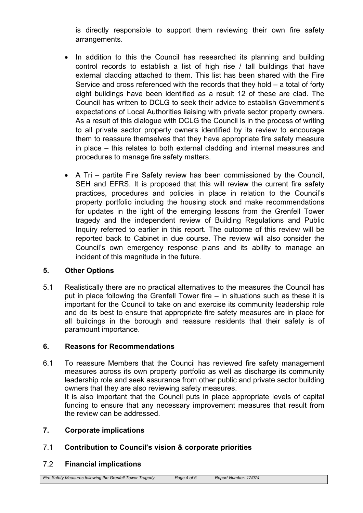is directly responsible to support them reviewing their own fire safety arrangements.

- In addition to this the Council has researched its planning and building control records to establish a list of high rise / tall buildings that have external cladding attached to them. This list has been shared with the Fire Service and cross referenced with the records that they hold – a total of forty eight buildings have been identified as a result 12 of these are clad. The Council has written to DCLG to seek their advice to establish Government's expectations of Local Authorities liaising with private sector property owners. As a result of this dialogue with DCLG the Council is in the process of writing to all private sector property owners identified by its review to encourage them to reassure themselves that they have appropriate fire safety measure in place – this relates to both external cladding and internal measures and procedures to manage fire safety matters.
- A Tri partite Fire Safety review has been commissioned by the Council, SEH and EFRS. It is proposed that this will review the current fire safety practices, procedures and policies in place in relation to the Council's property portfolio including the housing stock and make recommendations for updates in the light of the emerging lessons from the Grenfell Tower tragedy and the independent review of Building Regulations and Public Inquiry referred to earlier in this report. The outcome of this review will be reported back to Cabinet in due course. The review will also consider the Council's own emergency response plans and its ability to manage an incident of this magnitude in the future.

# **5. Other Options**

5.1 Realistically there are no practical alternatives to the measures the Council has put in place following the Grenfell Tower fire – in situations such as these it is important for the Council to take on and exercise its community leadership role and do its best to ensure that appropriate fire safety measures are in place for all buildings in the borough and reassure residents that their safety is of paramount importance.

# **6. Reasons for Recommendations**

6.1 To reassure Members that the Council has reviewed fire safety management measures across its own property portfolio as well as discharge its community leadership role and seek assurance from other public and private sector building owners that they are also reviewing safety measures. It is also important that the Council puts in place appropriate levels of capital funding to ensure that any necessary improvement measures that result from the review can be addressed.

# **7. Corporate implications**

7.1 **Contribution to Council's vision & corporate priorities**

# 7.2 **Financial implications**

*Fire Safety Measures following the Grenfell Tower Tragedy Page 4 of 6 Report Number: 17/074*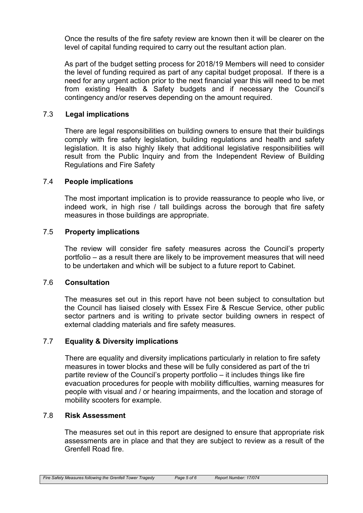Once the results of the fire safety review are known then it will be clearer on the level of capital funding required to carry out the resultant action plan.

As part of the budget setting process for 2018/19 Members will need to consider the level of funding required as part of any capital budget proposal. If there is a need for any urgent action prior to the next financial year this will need to be met from existing Health & Safety budgets and if necessary the Council's contingency and/or reserves depending on the amount required.

## 7.3 **Legal implications**

There are legal responsibilities on building owners to ensure that their buildings comply with fire safety legislation, building regulations and health and safety legislation. It is also highly likely that additional legislative responsibilities will result from the Public Inquiry and from the Independent Review of Building Regulations and Fire Safety

#### 7.4 **People implications**

The most important implication is to provide reassurance to people who live, or indeed work, in high rise / tall buildings across the borough that fire safety measures in those buildings are appropriate.

## 7.5 **Property implications**

The review will consider fire safety measures across the Council's property portfolio – as a result there are likely to be improvement measures that will need to be undertaken and which will be subject to a future report to Cabinet.

#### 7.6 **Consultation**

The measures set out in this report have not been subject to consultation but the Council has liaised closely with Essex Fire & Rescue Service, other public sector partners and is writing to private sector building owners in respect of external cladding materials and fire safety measures.

#### 7.7 **Equality & Diversity implications**

There are equality and diversity implications particularly in relation to fire safety measures in tower blocks and these will be fully considered as part of the tri partite review of the Council's property portfolio – it includes things like fire evacuation procedures for people with mobility difficulties, warning measures for people with visual and / or hearing impairments, and the location and storage of mobility scooters for example.

#### 7.8 **Risk Assessment**

The measures set out in this report are designed to ensure that appropriate risk assessments are in place and that they are subject to review as a result of the Grenfell Road fire.